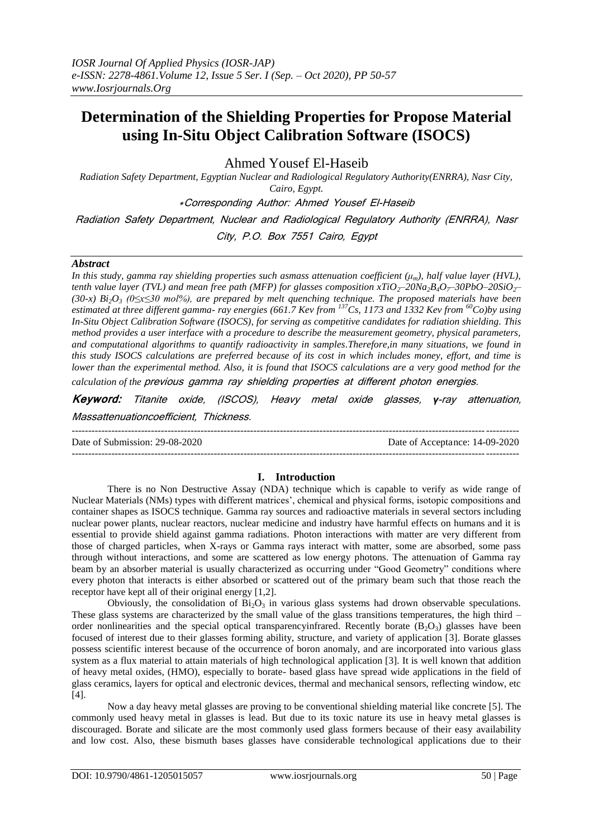# **Determination of the Shielding Properties for Propose Material using In-Situ Object Calibration Software (ISOCS)**

Ahmed Yousef El-Haseib

*Radiation Safety Department, Egyptian Nuclear and Radiological Regulatory Authority(ENRRA), Nasr City, Cairo, Egypt.*

\*Corresponding Author: Ahmed Yousef El-Haseib

Radiation Safety Department, Nuclear and Radiological Regulatory Authority (ENRRA), Nasr

City, P.O. Box 7551 Cairo, Egypt

#### *Abstract*

*In this study, gamma ray shielding properties such asmass attenuation coefficient (μm), half value layer (HVL), tenth value layer (TVL) and mean free path (MFP) for glasses composition*  $xTiO_2$ *–20Na<sub>2</sub>B<sub>4</sub>O<sub>7</sub>–30PbO–20SiO<sub>2</sub>– (30-x) Bi2O<sup>3</sup> (0≤x≤30 mol%), are prepared by melt quenching technique. The proposed materials have been estimated at three different gamma- ray energies (661.7 Kev from <sup>137</sup>Cs, 1173 and 1332 Kev from <sup>60</sup>Co)by using In-Situ Object Calibration Software (ISOCS), for serving as competitive candidates for radiation shielding. This method provides a user interface with a procedure to describe the measurement geometry, physical parameters, and computational algorithms to quantify radioactivity in samples.Therefore,in many situations, we found in this study ISOCS calculations are preferred because of its cost in which includes money, effort, and time is lower than the experimental method. Also, it is found that ISOCS calculations are a very good method for the* 

*calculation of the* previous gamma ray shielding properties at different photon energies.

**Keyword:** Titanite oxide, (ISCOS), Heavy metal oxide glasses, *γ*-ray attenuation, Massattenuationcoefficient, Thickness.

---------------------------------------------------------------------------------------------------------------------------------------

Date of Submission: 29-08-2020 Date of Acceptance: 14-09-2020

## **I. Introduction**

---------------------------------------------------------------------------------------------------------------------------------------

There is no Non Destructive Assay (NDA) technique which is capable to verify as wide range of Nuclear Materials (NMs) types with different matrices', chemical and physical forms, isotopic compositions and container shapes as ISOCS technique. Gamma ray sources and radioactive materials in several sectors including nuclear power plants, nuclear reactors, nuclear medicine and industry have harmful effects on humans and it is essential to provide shield against gamma radiations. Photon interactions with matter are very different from those of charged particles, when X-rays or Gamma rays interact with matter, some are absorbed, some pass through without interactions, and some are scattered as low energy photons. The attenuation of Gamma ray beam by an absorber material is usually characterized as occurring under "Good Geometry" conditions where every photon that interacts is either absorbed or scattered out of the primary beam such that those reach the receptor have kept all of their original energy [1,2].

Obviously, the consolidation of  $Bi_2O_3$  in various glass systems had drown observable speculations. These glass systems are characterized by the small value of the glass transitions temperatures, the high third – order nonlinearities and the special optical transparency infrared. Recently borate  $(B_2O_3)$  glasses have been focused of interest due to their glasses forming ability, structure, and variety of application [3]. Borate glasses possess scientific interest because of the occurrence of boron anomaly, and are incorporated into various glass system as a flux material to attain materials of high technological application [3]. It is well known that addition of heavy metal oxides, (HMO), especially to borate- based glass have spread wide applications in the field of glass ceramics, layers for optical and electronic devices, thermal and mechanical sensors, reflecting window, etc [4].

Now a day heavy metal glasses are proving to be conventional shielding material like concrete [5]. The commonly used heavy metal in glasses is lead. But due to its toxic nature its use in heavy metal glasses is discouraged. Borate and silicate are the most commonly used glass formers because of their easy availability and low cost. Also, these bismuth bases glasses have considerable technological applications due to their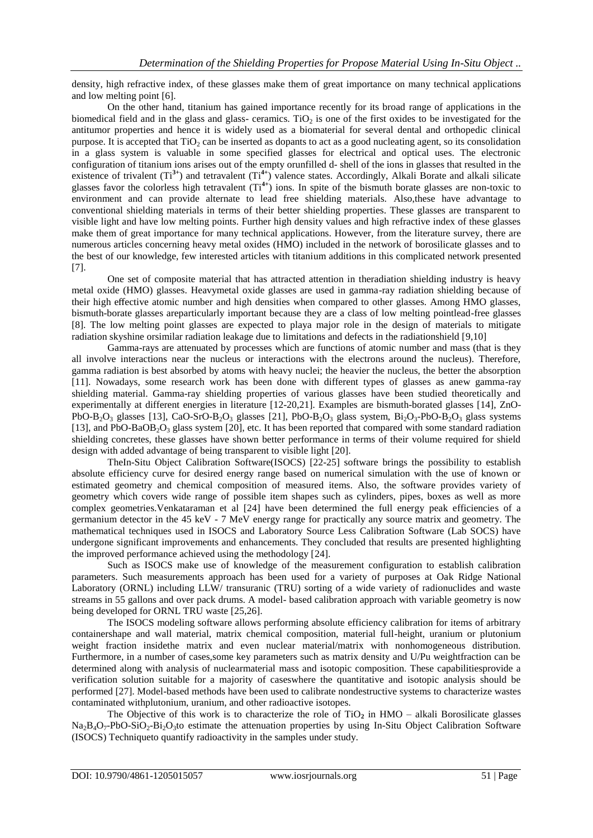density, high refractive index, of these glasses make them of great importance on many technical applications and low melting point [6].

On the other hand, titanium has gained importance recently for its broad range of applications in the biomedical field and in the glass and glass- ceramics. TiO<sub>2</sub> is one of the first oxides to be investigated for the antitumor properties and hence it is widely used as a biomaterial for several dental and orthopedic clinical purpose. It is accepted that  $TiO<sub>2</sub>$  can be inserted as dopants to act as a good nucleating agent, so its consolidation in a glass system is valuable in some specified glasses for electrical and optical uses. The electronic configuration of titanium ions arises out of the empty orunfilled d- shell of the ions in glasses that resulted in the existence of trivalent (Ti<sup>3+</sup>) and tetravalent (Ti<sup>4+</sup>) valence states. Accordingly, Alkali Borate and alkali silicate glasses favor the colorless high tetravalent (Ti**4+**) ions. In spite of the bismuth borate glasses are non-toxic to environment and can provide alternate to lead free shielding materials. Also,these have advantage to conventional shielding materials in terms of their better shielding properties. These glasses are transparent to visible light and have low melting points. Further high density values and high refractive index of these glasses make them of great importance for many technical applications. However, from the literature survey, there are numerous articles concerning heavy metal oxides (HMO) included in the network of borosilicate glasses and to the best of our knowledge, few interested articles with titanium additions in this complicated network presented [7].

One set of composite material that has attracted attention in theradiation shielding industry is heavy metal oxide (HMO) glasses. Heavymetal oxide glasses are used in gamma-ray radiation shielding because of their high effective atomic number and high densities when compared to other glasses. Among HMO glasses, bismuth-borate glasses areparticularly important because they are a class of low melting pointlead-free glasses [8]. The low melting point glasses are expected to playa major role in the design of materials to mitigate radiation skyshine orsimilar radiation leakage due to limitations and defects in the radiationshield [9,10]

Gamma-rays are attenuated by processes which are functions of atomic number and mass (that is they all involve interactions near the nucleus or interactions with the electrons around the nucleus). Therefore, gamma radiation is best absorbed by atoms with heavy nuclei; the heavier the nucleus, the better the absorption [11]. Nowadays, some research work has been done with different types of glasses as anew gamma-ray shielding material. Gamma-ray shielding properties of various glasses have been studied theoretically and experimentally at different energies in literature [12-20,21]. Examples are bismuth-borated glasses [14], ZnO-PbO-B<sub>2</sub>O<sub>3</sub> glasses [13], CaO-SrO-B<sub>2</sub>O<sub>3</sub> glasses [21], PbO-B<sub>2</sub>O<sub>3</sub> glass system, Bi<sub>2</sub>O<sub>3</sub>-PbO-B<sub>2</sub>O<sub>3</sub> glass systems [13], and PbO-BaOB<sub>2</sub>O<sub>3</sub> glass system [20], etc. It has been reported that compared with some standard radiation shielding concretes, these glasses have shown better performance in terms of their volume required for shield design with added advantage of being transparent to visible light [20].

TheIn-Situ Object Calibration Software(ISOCS) [22-25] software brings the possibility to establish absolute efficiency curve for desired energy range based on numerical simulation with the use of known or estimated geometry and chemical composition of measured items. Also, the software provides variety of geometry which covers wide range of possible item shapes such as cylinders, pipes, boxes as well as more complex geometries.Venkataraman et al [24] have been determined the full energy peak efficiencies of a germanium detector in the 45 keV - 7 MeV energy range for practically any source matrix and geometry. The mathematical techniques used in ISOCS and Laboratory Source Less Calibration Software (Lab SOCS) have undergone significant improvements and enhancements. They concluded that results are presented highlighting the improved performance achieved using the methodology [24].

Such as ISOCS make use of knowledge of the measurement configuration to establish calibration parameters. Such measurements approach has been used for a variety of purposes at Oak Ridge National Laboratory (ORNL) including LLW/ transuranic (TRU) sorting of a wide variety of radionuclides and waste streams in 55 gallons and over pack drums. A model- based calibration approach with variable geometry is now being developed for ORNL TRU waste [25,26].

The ISOCS modeling software allows performing absolute efficiency calibration for items of arbitrary containershape and wall material, matrix chemical composition, material full-height, uranium or plutonium weight fraction insidethe matrix and even nuclear material/matrix with nonhomogeneous distribution. Furthermore, in a number of cases,some key parameters such as matrix density and U/Pu weightfraction can be determined along with analysis of nuclearmaterial mass and isotopic composition. These capabilitiesprovide a verification solution suitable for a majority of caseswhere the quantitative and isotopic analysis should be performed [27]. Model-based methods have been used to calibrate nondestructive systems to characterize wastes contaminated withplutonium, uranium, and other radioactive isotopes.

The Objective of this work is to characterize the role of  $TiO<sub>2</sub>$  in  $HMO - alkali$  Borosilicate glasses  $Na_2B_4O_7-PbO-SiO_2-Bi_2O_3$ to estimate the attenuation properties by using In-Situ Object Calibration Software (ISOCS) Techniqueto quantify radioactivity in the samples under study.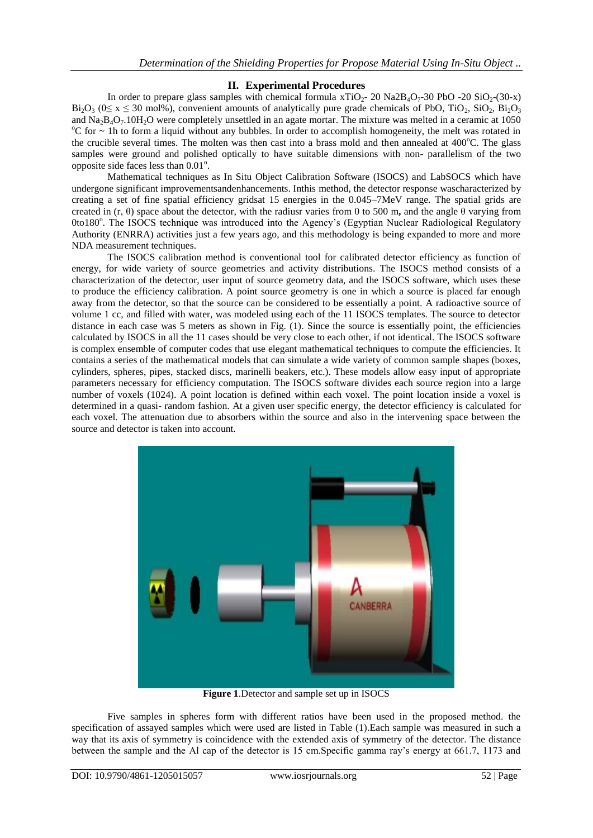## **II. Experimental Procedures**

In order to prepare glass samples with chemical formula  $xTiO<sub>2</sub>$ - 20 Na2B<sub>4</sub>O<sub>7</sub>-30 PbO -20 SiO<sub>2</sub>-(30-x)  $Bi<sub>2</sub>O<sub>3</sub>$  (0≤ x ≤ 30 mol%), convenient amounts of analytically pure grade chemicals of PbO, TiO<sub>2</sub>, SiO<sub>2</sub>, Bi<sub>2</sub>O<sub>3</sub> and  $Na_2B_4O_7.10H_2O$  were completely unsettled in an agate mortar. The mixture was melted in a ceramic at 1050  $\degree$ C for  $\sim$  1h to form a liquid without any bubbles. In order to accomplish homogeneity, the melt was rotated in the crucible several times. The molten was then cast into a brass mold and then annealed at  $400^{\circ}$ C. The glass samples were ground and polished optically to have suitable dimensions with non- parallelism of the two opposite side faces less than 0.01°.

Mathematical techniques as In Situ Object Calibration Software (ISOCS) and LabSOCS which have undergone significant improvementsandenhancements. Inthis method, the detector response wascharacterized by creating a set of fine spatial efficiency gridsat 15 energies in the 0.045–7MeV range. The spatial grids are created in (r, θ) space about the detector, with the radiusr varies from 0 to 500 m**,** and the angle θ varying from 0to180°. The ISOCS technique was introduced into the Agency's (Egyptian Nuclear Radiological Regulatory Authority (ENRRA) activities just a few years ago, and this methodology is being expanded to more and more NDA measurement techniques.

The ISOCS calibration method is conventional tool for calibrated detector efficiency as function of energy, for wide variety of source geometries and activity distributions. The ISOCS method consists of a characterization of the detector, user input of source geometry data, and the ISOCS software, which uses these to produce the efficiency calibration. A point source geometry is one in which a source is placed far enough away from the detector, so that the source can be considered to be essentially a point. A radioactive source of volume 1 cc, and filled with water, was modeled using each of the 11 ISOCS templates. The source to detector distance in each case was 5 meters as shown in Fig. (1). Since the source is essentially point, the efficiencies calculated by ISOCS in all the 11 cases should be very close to each other, if not identical. The ISOCS software is complex ensemble of computer codes that use elegant mathematical techniques to compute the efficiencies. It contains a series of the mathematical models that can simulate a wide variety of common sample shapes (boxes, cylinders, spheres, pipes, stacked discs, marinelli beakers, etc.). These models allow easy input of appropriate parameters necessary for efficiency computation. The ISOCS software divides each source region into a large number of voxels (1024). A point location is defined within each voxel. The point location inside a voxel is determined in a quasi- random fashion. At a given user specific energy, the detector efficiency is calculated for each voxel. The attenuation due to absorbers within the source and also in the intervening space between the source and detector is taken into account.



**Figure 1**.Detector and sample set up in ISOCS

Five samples in spheres form with different ratios have been used in the proposed method. the specification of assayed samples which were used are listed in Table (1).Each sample was measured in such a way that its axis of symmetry is coincidence with the extended axis of symmetry of the detector. The distance between the sample and the Al cap of the detector is 15 cm.Specific gamma ray's energy at 661.7, 1173 and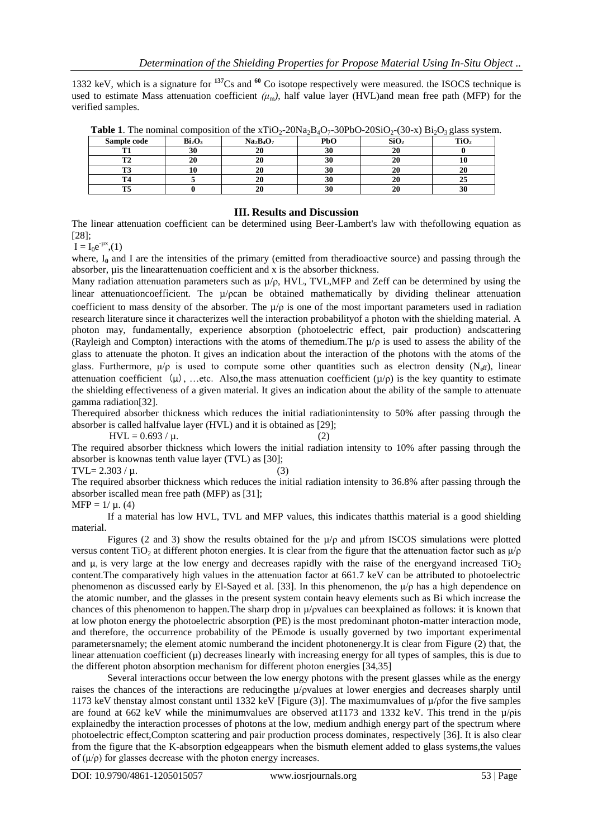1332 keV, which is a signature for **<sup>137</sup>**Cs and **<sup>60</sup>** Co isotope respectively were measured. the ISOCS technique is used to estimate Mass attenuation coefficient  $(\mu_m)$ , half value layer (HVL)and mean free path (MFP) for the verified samples.

| <b>Table 1.</b> The nominal composition of the $\lambda$ 11O <sub>2</sub> -2018a <sub>2</sub> D <sub>4</sub> O <sub>7</sub> -301 0O-2051O <sub>2</sub> -(30- $\lambda$ ) D1 <sub>2</sub> O <sub>3</sub> glass system |                                |           |     |                  |      |
|----------------------------------------------------------------------------------------------------------------------------------------------------------------------------------------------------------------------|--------------------------------|-----------|-----|------------------|------|
| Sample code                                                                                                                                                                                                          | Bi <sub>2</sub> O <sub>3</sub> | $Na2B4O7$ | PbO | SiO <sub>2</sub> | TiO2 |
|                                                                                                                                                                                                                      |                                |           |     |                  |      |
|                                                                                                                                                                                                                      |                                | 40        | эu  |                  |      |
|                                                                                                                                                                                                                      |                                |           | 30  |                  |      |
|                                                                                                                                                                                                                      |                                |           | 30  |                  |      |
|                                                                                                                                                                                                                      |                                |           | эu  |                  |      |

**Table 1.** The nominal composition of the  $\overline{X}$   $\overline{10}_{2}$ -20Na<sub>2</sub>B<sub>4</sub>O<sub>2</sub>-30PbO-20SiO<sub>27</sub>(30-x) Bi<sub>2</sub>O<sub>2</sub> glass system.

### **III. Results and Discussion**

The linear attenuation coefficient can be determined using Beer-Lambert's law with thefollowing equation as [28];

 $I = I_0 e^{-\mu x}, (1)$ 

where, I<sub>0</sub> and I are the intensities of the primary (emitted from theradioactive source) and passing through the absorber, uis the linearattenuation coefficient and x is the absorber thickness.

Many radiation attenuation parameters such as  $\mu/\rho$ , HVL, TVL, MFP and Zeff can be determined by using the linear attenuationcoefficient. The  $\mu$ /*ρcan* be obtained mathematically by dividing the linear attenuation coefficient to mass density of the absorber. The  $\mu/\rho$  is one of the most important parameters used in radiation research literature since it characterizes well the interaction probabilityof a photon with the shielding material. A photon may, fundamentally, experience absorption (photoelectric effect, pair production) andscattering (Rayleigh and Compton) interactions with the atoms of themedium. The  $\mu/\rho$  is used to assess the ability of the glass to attenuate the photon.It gives an indication about the interaction of the photons with the atoms of the glass. Furthermore,  $\mu/\rho$  is used to compute some other quantities such as electron density (N<sub>eff</sub>), linear attenuation coefficient  $(\mu)$ , …etc. Also,the mass attenuation coefficient  $(\mu/\rho)$  is the key quantity to estimate the shielding effectiveness of a given material. It gives an indication about the ability of the sample to attenuate gamma radiation[32].

Therequired absorber thickness which reduces the initial radiationintensity to 50% after passing through the absorber is called halfvalue layer (HVL) and it is obtained as [29];

 $HVL = 0.693 / \mu.$  (2)

The required absorber thickness which lowers the initial radiation intensity to 10% after passing through the absorber is knownas tenth value layer (TVL) as [30];

TVL=  $2.303 / \mu$ .

$$
(3)
$$

The required absorber thickness which reduces the initial radiation intensity to 36.8% after passing through the absorber iscalled mean free path (MFP) as [31];

 $MFP = 1/\mu$ . (4)

If a material has low HVL, TVL and MFP values, this indicates thatthis material is a good shielding material.

Figures (2 and 3) show the results obtained for the  $\mu/\rho$  and  $\mu$  from ISCOS simulations were plotted versus content TiO<sub>2</sub> at different photon energies. It is clear from the figure that the attenuation factor such as  $\mu$ <sub>D</sub> and  $\mu$ , is very large at the low energy and decreases rapidly with the raise of the energy and increased TiO<sub>2</sub> content.The comparatively high values in the attenuation factor at 661.7 keV can be attributed to photoelectric phenomenon as discussed early by El-Sayed et al. [33]. In this phenomenon, the  $\mu/\rho$  has a high dependence on the atomic number, and the glasses in the present system contain heavy elements such as Bi which increase the chances of this phenomenon to happen.The sharp drop in µ/ρvalues can beexplained as follows: it is known that at low photon energy the photoelectric absorption (PE) is the most predominant photon-matter interaction mode, and therefore, the occurrence probability of the PEmode is usually governed by two important experimental parametersnamely; the element atomic numberand the incident photonenergy.It is clear from Figure (2) that, the linear attenuation coefficient  $(\mu)$  decreases linearly with increasing energy for all types of samples, this is due to the different photon absorption mechanism for different photon energies [34,35]

Several interactions occur between the low energy photons with the present glasses while as the energy raises the chances of the interactions are reducingthe µ/ρvalues at lower energies and decreases sharply until 1173 keV thenstay almost constant until 1332 keV [Figure (3)]. The maximumvalues of  $\mu$ /*pfor the five samples* are found at 662 keV while the minimumvalues are observed at 1173 and 1332 keV. This trend in the  $\mu$ /pis explainedby the interaction processes of photons at the low, medium andhigh energy part of the spectrum where photoelectric effect,Compton scattering and pair production process dominates, respectively [36]. It is also clear from the figure that the K-absorption edgeappears when the bismuth element added to glass systems,the values of  $(\mu/\rho)$  for glasses decrease with the photon energy increases.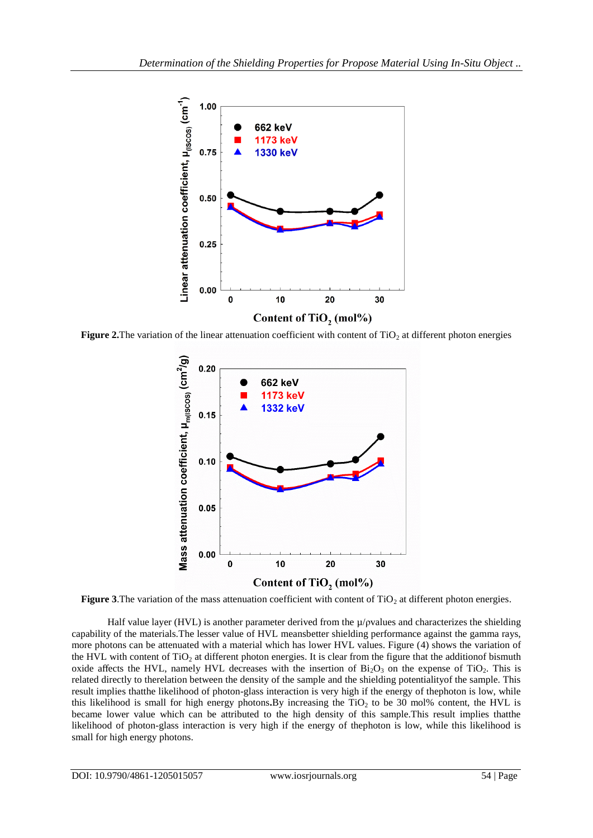

**Figure 2.**The variation of the linear attenuation coefficient with content of  $TiO<sub>2</sub>$  at different photon energies



**Figure 3.**The variation of the mass attenuation coefficient with content of  $TiO<sub>2</sub>$  at different photon energies.

Half value layer (HVL) is another parameter derived from the µ/ρvalues and characterizes the shielding capability of the materials.The lesser value of HVL meansbetter shielding performance against the gamma rays, more photons can be attenuated with a material which has lower HVL values. Figure (4) shows the variation of the HVL with content of  $TiO<sub>2</sub>$  at different photon energies. It is clear from the figure that the additionof bismuth oxide affects the HVL, namely HVL decreases with the insertion of  $Bi<sub>2</sub>O<sub>3</sub>$  on the expense of TiO<sub>2</sub>. This is related directly to therelation between the density of the sample and the shielding potentialityof the sample. This result implies thatthe likelihood of photon-glass interaction is very high if the energy of thephoton is low, while this likelihood is small for high energy photons. By increasing the TiO<sub>2</sub> to be 30 mol% content, the HVL is became lower value which can be attributed to the high density of this sample.This result implies thatthe likelihood of photon-glass interaction is very high if the energy of thephoton is low, while this likelihood is small for high energy photons.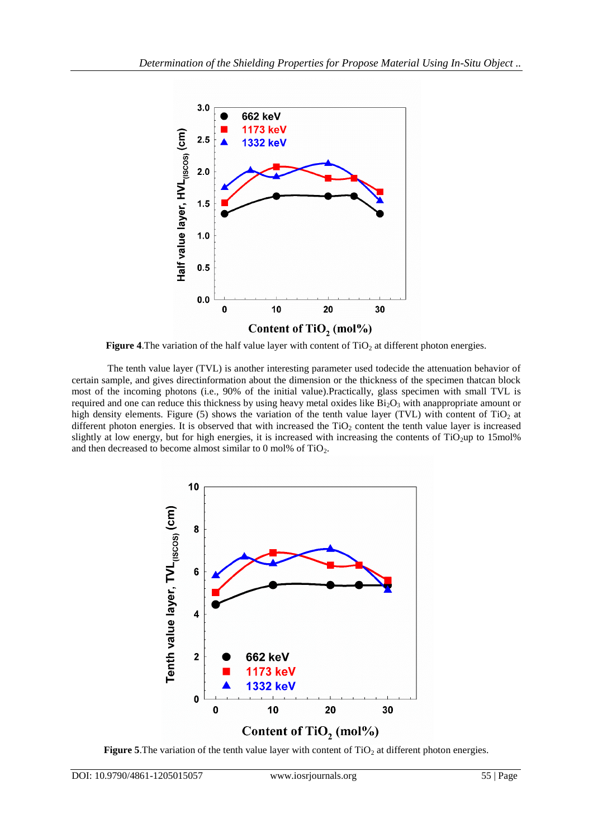

**Figure 4.** The variation of the half value layer with content of  $TiO<sub>2</sub>$  at different photon energies.

The tenth value layer (TVL) is another interesting parameter used todecide the attenuation behavior of certain sample, and gives directinformation about the dimension or the thickness of the specimen thatcan block most of the incoming photons (i.e., 90% of the initial value).Practically, glass specimen with small TVL is required and one can reduce this thickness by using heavy metal oxides like  $Bi_2O_3$  with anappropriate amount or high density elements. Figure (5) shows the variation of the tenth value layer (TVL) with content of  $TiO<sub>2</sub>$  at different photon energies. It is observed that with increased the  $TiO<sub>2</sub>$  content the tenth value layer is increased slightly at low energy, but for high energies, it is increased with increasing the contents of TiO<sub>2</sub>up to 15mol% and then decreased to become almost similar to  $0 \text{ mol}$ % of TiO<sub>2</sub>.



Figure 5.The variation of the tenth value layer with content of TiO<sub>2</sub> at different photon energies.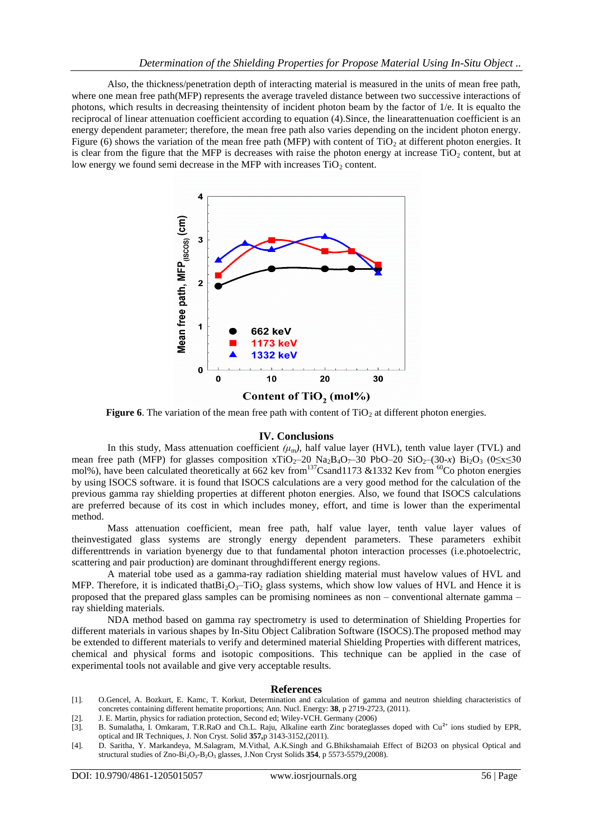Also, the thickness/penetration depth of interacting material is measured in the units of mean free path, where one mean free path(MFP) represents the average traveled distance between two successive interactions of photons, which results in decreasing theintensity of incident photon beam by the factor of 1/e. It is equalto the reciprocal of linear attenuation coefficient according to equation (4).Since, the linearattenuation coefficient is an energy dependent parameter; therefore, the mean free path also varies depending on the incident photon energy. Figure (6) shows the variation of the mean free path (MFP) with content of  $TiO<sub>2</sub>$  at different photon energies. It is clear from the figure that the MFP is decreases with raise the photon energy at increase  $TiO<sub>2</sub>$  content, but at low energy we found semi decrease in the MFP with increases  $TiO<sub>2</sub>$  content.





**Figure 6**. The variation of the mean free path with content of  $TiO<sub>2</sub>$  at different photon energies.

#### **IV. Conclusions**

In this study, Mass attenuation coefficient  $(\mu_m)$ , half value layer (HVL), tenth value layer (TVL) and mean free path (MFP) for glasses composition xTiO<sub>2</sub>–20 Na<sub>2</sub>B<sub>4</sub>O<sub>7</sub>–30 PbO–20 SiO<sub>2</sub>–(30-*x*) Bi<sub>2</sub>O<sub>3</sub> (0≤x≤30 mol%), have been calculated theoretically at 662 kev from<sup>137</sup>Csand1173 &1332 Kev from <sup>60</sup>Co photon energies by using ISOCS software. it is found that ISOCS calculations are a very good method for the calculation of the previous gamma ray shielding properties at different photon energies. Also, we found that ISOCS calculations are preferred because of its cost in which includes money, effort, and time is lower than the experimental method.

Mass attenuation coefficient, mean free path, half value layer, tenth value layer values of theinvestigated glass systems are strongly energy dependent parameters. These parameters exhibit differenttrends in variation byenergy due to that fundamental photon interaction processes (i.e.photoelectric, scattering and pair production) are dominant throughdifferent energy regions.

A material tobe used as a gamma-ray radiation shielding material must havelow values of HVL and MFP. Therefore, it is indicated that  $Bi_2O_3$ -TiO<sub>2</sub> glass systems, which show low values of HVL and Hence it is proposed that the prepared glass samples can be promising nominees as non – conventional alternate gamma – ray shielding materials.

NDA method based on gamma ray spectrometry is used to determination of Shielding Properties for different materials in various shapes by In-Situ Object Calibration Software (ISOCS).The proposed method may be extended to different materials to verify and determined material Shielding Properties with different matrices, chemical and physical forms and isotopic compositions. This technique can be applied in the case of experimental tools not available and give very acceptable results.

#### **References**

- [1]. O.Gencel, A. Bozkurt, E. Kamc, T. Korkut, Determination and calculation of gamma and neutron shielding characteristics of concretes containing different hematite proportions; Ann. Nucl. Energy: **38**, p 2719-2723, (2011).
- [2]. J. E. Martin, physics for radiation protection, Second ed; Wiley-VCH. Germany (2006)
- [3]. B. Sumalatha, I. Omkaram, T.R.RaO and Ch.L. Raju, Alkaline earth Zinc borateglasses doped with Cu**2+** ions studied by EPR, optical and IR Techniques, J. Non Cryst. Solid **357,**p 3143-3152,(2011).
- [4]. D. Saritha, Y. Markandeya, M.Salagram, M.Vithal, A.K.Singh and G.Bhikshamaiah Effect of Bi2O3 on physical Optical and structural studies of Zno-Bi2O3-B2O<sup>3</sup> glasses, J.Non Cryst Solids **354**, p 5573-5579,(2008).